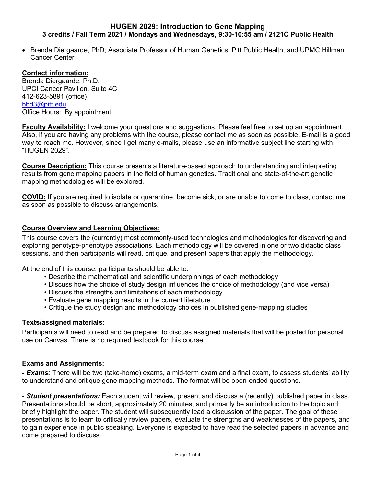### **HUGEN 2029: Introduction to Gene Mapping 3 credits / Fall Term 2021 / Mondays and Wednesdays, 9:30-10:55 am / 2121C Public Health**

• Brenda Diergaarde, PhD; Associate Professor of Human Genetics, Pitt Public Health, and UPMC Hillman Cancer Center

#### **Contact information:**

Brenda Diergaarde, Ph.D. UPCI Cancer Pavilion, Suite 4C 412-623-5891 (office) [bbd3@pitt.edu](mailto:bbd3@pitt.edu) Office Hours: By appointment

**Faculty Availability:** I welcome your questions and suggestions. Please feel free to set up an appointment. Also, if you are having any problems with the course, please contact me as soon as possible. E-mail is a good way to reach me. However, since I get many e-mails, please use an informative subject line starting with "HUGEN 2029".

**Course Description:** This course presents a literature-based approach to understanding and interpreting results from gene mapping papers in the field of human genetics. Traditional and state-of-the-art genetic mapping methodologies will be explored.

**COVID:** If you are required to isolate or quarantine, become sick, or are unable to come to class, contact me as soon as possible to discuss arrangements.

# **Course Overview and Learning Objectives:**

This course covers the (currently) most commonly-used technologies and methodologies for discovering and exploring genotype-phenotype associations. Each methodology will be covered in one or two didactic class sessions, and then participants will read, critique, and present papers that apply the methodology.

At the end of this course, participants should be able to:

- Describe the mathematical and scientific underpinnings of each methodology
- Discuss how the choice of study design influences the choice of methodology (and vice versa)
- Discuss the strengths and limitations of each methodology
- Evaluate gene mapping results in the current literature
- Critique the study design and methodology choices in published gene-mapping studies

# **Texts/assigned materials:**

Participants will need to read and be prepared to discuss assigned materials that will be posted for personal use on Canvas. There is no required textbook for this course.

# **Exams and Assignments:**

*- Exams:* There will be two (take-home) exams, a mid-term exam and a final exam, to assess students' ability to understand and critique gene mapping methods. The format will be open-ended questions.

*- Student presentations:* Each student will review, present and discuss a (recently) published paper in class. Presentations should be short, approximately 20 minutes, and primarily be an introduction to the topic and briefly highlight the paper. The student will subsequently lead a discussion of the paper. The goal of these presentations is to learn to critically review papers, evaluate the strengths and weaknesses of the papers, and to gain experience in public speaking. Everyone is expected to have read the selected papers in advance and come prepared to discuss.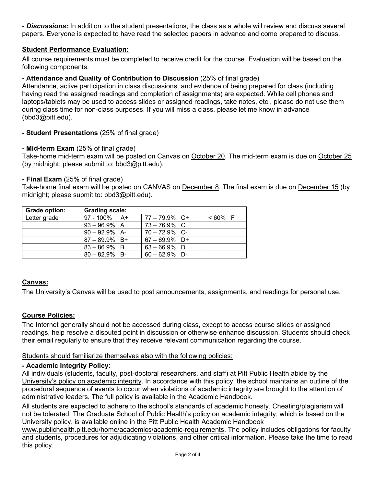*- Discussions:* In addition to the student presentations, the class as a whole will review and discuss several papers. Everyone is expected to have read the selected papers in advance and come prepared to discuss.

# **Student Performance Evaluation:**

All course requirements must be completed to receive credit for the course. Evaluation will be based on the following components:

# **- Attendance and Quality of Contribution to Discussion** (25% of final grade)

Attendance, active participation in class discussions, and evidence of being prepared for class (including having read the assigned readings and completion of assignments) are expected. While cell phones and laptops/tablets may be used to access slides or assigned readings, take notes, etc., please do not use them during class time for non-class purposes. If you will miss a class, please let me know in advance (bbd3@pitt.edu).

# **- Student Presentations** (25% of final grade)

# **- Mid-term Exam** (25% of final grade)

Take-home mid-term exam will be posted on Canvas on October 20. The mid-term exam is due on October 25 (by midnight; please submit to: bbd3@pitt.edu).

#### **- Final Exam** (25% of final grade)

Take-home final exam will be posted on CANVAS on December 8. The final exam is due on December 15 (by midnight; please submit to: bbd3@pitt.edu).

| Grade option: | <b>Grading scale:</b> |                  |            |
|---------------|-----------------------|------------------|------------|
| Letter grade  | $97 - 100\%$ A+       | $77 - 79.9\%$ C+ | $< 60\%$ F |
|               | $93 - 96.9\%$ A       | $73 - 76.9\%$ C  |            |
|               | $90 - 92.9\%$ A-      | $70 - 72.9\%$ C- |            |
|               | $87 - 89.9\%$ B+      | $67 - 69.9%$ D+  |            |
|               | $83 - 86.9\%$ B       | $63 - 66.9\%$ D  |            |
|               | $80 - 82.9%$ B-       | $60 - 62.9%$ D-  |            |

# **Canvas:**

The University's Canvas will be used to post announcements, assignments, and readings for personal use.

# **Course Policies:**

The Internet generally should not be accessed during class, except to access course slides or assigned readings, help resolve a disputed point in discussion or otherwise enhance discussion. Students should check their email regularly to ensure that they receive relevant communication regarding the course.

#### Students should familiarize themselves also with the following policies:

# **- Academic Integrity Policy:**

All individuals (students, faculty, post-doctoral researchers, and staff) at Pitt Public Health abide by the [University's](https://www.publichealth.pitt.edu/LinkClick.aspx?link=http%3a%2f%2fwww.bc.pitt.edu%2fpolicies%2fpolicy%2f02%2f02-03-02.html&tabid=2236&portalid=0&mid=10377) policy on academic integrity. In accordance with this policy, the school maintains an outline of the procedural sequence of events to occur when violations of academic integrity are brought to the attention of administrative leaders. The full policy is available in the Academic [Handbook.](https://www.publichealth.pitt.edu/academic-handbook)

All students are expected to adhere to the school's standards of academic honesty. Cheating/plagiarism will not be tolerated. The Graduate School of Public Health's policy on academic integrity, which is based on the University policy, is available online in the Pitt Public Health Academic Handbook

[www.publichealth.pitt.edu/home/academics/academic-requirements.](https://na01.safelinks.protection.outlook.com/?url=http%3A%2F%2Fwww.publichealth.pitt.edu%2Fhome%2Facademics%2Facademic-requirements&data=01%7C01%7CRobin.Leaf%40pitt.edu%7Cd2b682f8df1344a1488b08d5f7078713%7C9ef9f489e0a04eeb87cc3a526112fd0d%7C1&sdata=6ufA2nSlUetTPqxC3zE70WlE7mLMvNKznCNB7nQHwj0%3D&reserved=0) The policy includes obligations for faculty and students, procedures for adjudicating violations, and other critical information. Please take the time to read this policy.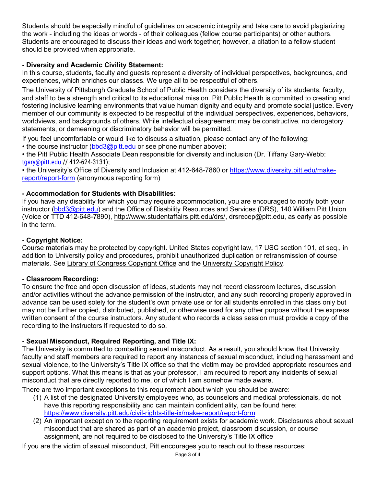Students should be especially mindful of guidelines on academic integrity and take care to avoid plagiarizing the work - including the ideas or words - of their colleagues (fellow course participants) or other authors. Students are encouraged to discuss their ideas and work together; however, a citation to a fellow student should be provided when appropriate.

# **- Diversity and Academic Civility Statement:**

In this course, students, faculty and guests represent a diversity of individual perspectives, backgrounds, and experiences, which enriches our classes. We urge all to be respectful of others.

The University of Pittsburgh Graduate School of Public Health considers the diversity of its students, faculty, and staff to be a strength and critical to its educational mission. Pitt Public Health is committed to creating and fostering inclusive learning environments that value human dignity and equity and promote social justice. Every member of our community is expected to be respectful of the individual perspectives, experiences, behaviors, worldviews, and backgrounds of others. While intellectual disagreement may be constructive, no derogatory statements, or demeaning or discriminatory behavior will be permitted.

If you feel uncomfortable or would like to discuss a situation, please contact any of the following:

• the course instructor [\(bbd3@pitt.edu](mailto:bbd3@pitt.edu) or see phone number above);

• the Pitt Public Health Associate Dean responsible for diversity and inclusion (Dr. Tiffany Gary-Webb: [tgary@pitt.edu](mailto:tgary@pitt.edu) // 412-624-3131);

• the University's Office of Diversity and Inclusion at 412-648-7860 or [https://www.diversity.pitt.edu/make](https://www.diversity.pitt.edu/make-report/report-form)[report/report-form](https://www.diversity.pitt.edu/make-report/report-form) (anonymous reporting form)

# **- Accommodation for Students with Disabilities:**

If you have any disability for which you may require accommodation, you are encouraged to notify both your instructor [\(bbd3@pitt.edu\)](mailto:bbd3@pitt.edu) and the Office of Disability Resources and Services (DRS), 140 William Pitt Union (Voice or TTD 412-648-7890), [http://www.studentaffairs.pitt.edu/drs/,](http://www.studentaffairs.pitt.edu/drs/) drsrecep@pitt.edu, as early as possible in the term.

# **- Copyright Notice:**

Course materials may be protected by copyright. United States copyright law, 17 USC section 101, et seq., in addition to University policy and procedures, prohibit unauthorized duplication or retransmission of course materials. See Library of [Congress](http://www.copyright.gov/) Copyright Office and the [University](http://oscp.library.pitt.edu/intellectual-property/copyright/pitt-policies-on-copyright/) Copyright Policy.

# **- Classroom Recording:**

To ensure the free and open discussion of ideas, students may not record classroom lectures, discussion and/or activities without the advance permission of the instructor, and any such recording properly approved in advance can be used solely for the student's own private use or for all students enrolled in this class only but may not be further copied, distributed, published, or otherwise used for any other purpose without the express written consent of the course instructors. Any student who records a class session must provide a copy of the recording to the instructors if requested to do so.

# **- Sexual Misconduct, Required Reporting, and Title IX:**

The University is committed to combatting sexual misconduct. As a result, you should know that University faculty and staff members are required to report any instances of sexual misconduct, including harassment and sexual violence, to the University's Title IX office so that the victim may be provided appropriate resources and support options. What this means is that as your professor, I am required to report any incidents of sexual misconduct that are directly reported to me, or of which I am somehow made aware.

There are two important exceptions to this requirement about which you should be aware:

- (1) A list of the designated University employees who, as counselors and medical professionals, do not have this reporting responsibility and can maintain confidentiality, can be found here: <https://www.diversity.pitt.edu/civil-rights-title-ix/make-report/report-form>
- (2) An important exception to the reporting requirement exists for academic work. Disclosures about sexual misconduct that are shared as part of an academic project, classroom discussion, or course assignment, are not required to be disclosed to the University's Title IX office

If you are the victim of sexual misconduct, Pitt encourages you to reach out to these resources: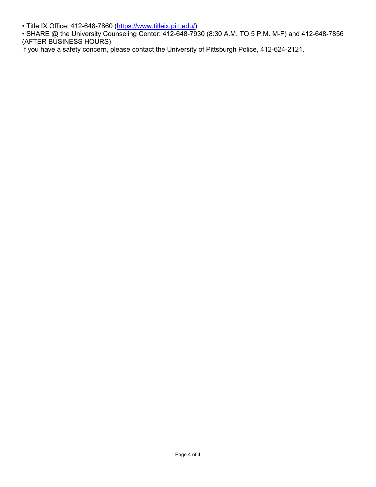• Title IX Office: 412-648-7860 [\(https://www.titleix.pitt.edu/\)](https://www.titleix.pitt.edu/)

• SHARE @ the University Counseling Center: 412-648-7930 (8:30 A.M. TO 5 P.M. M-F) and 412-648-7856 (AFTER BUSINESS HOURS)

If you have a safety concern, please contact the University of Pittsburgh Police, 412-624-2121.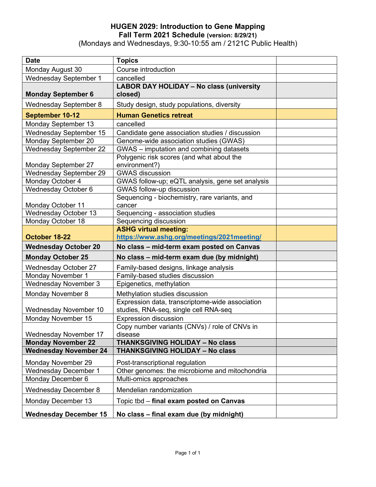# **HUGEN 2029: Introduction to Gene Mapping Fall Term 2021 Schedule (version: 8/29/21)**

(Mondays and Wednesdays, 9:30-10:55 am / 2121C Public Health)

| <b>Date</b>                   | <b>Topics</b>                                    |  |
|-------------------------------|--------------------------------------------------|--|
| Monday August 30              | Course introduction                              |  |
| <b>Wednesday September 1</b>  | cancelled                                        |  |
|                               | <b>LABOR DAY HOLIDAY - No class (university</b>  |  |
| <b>Monday September 6</b>     | closed)                                          |  |
| <b>Wednesday September 8</b>  | Study design, study populations, diversity       |  |
| September 10-12               | <b>Human Genetics retreat</b>                    |  |
| Monday September 13           | cancelled                                        |  |
| <b>Wednesday September 15</b> | Candidate gene association studies / discussion  |  |
| Monday September 20           | Genome-wide association studies (GWAS)           |  |
| <b>Wednesday September 22</b> | GWAS - imputation and combining datasets         |  |
|                               | Polygenic risk scores (and what about the        |  |
| <b>Monday September 27</b>    | environment?)                                    |  |
| <b>Wednesday September 29</b> | <b>GWAS discussion</b>                           |  |
| Monday October 4              | GWAS follow-up; eQTL analysis, gene set analysis |  |
| Wednesday October 6           | <b>GWAS follow-up discussion</b>                 |  |
|                               | Sequencing - biochemistry, rare variants, and    |  |
| Monday October 11             | cancer                                           |  |
| <b>Wednesday October 13</b>   | Sequencing - association studies                 |  |
| Monday October 18             | Sequencing discussion                            |  |
| October 18-22                 | <b>ASHG virtual meeting:</b>                     |  |
|                               | https://www.ashg.org/meetings/2021meeting/       |  |
| <b>Wednesday October 20</b>   | No class - mid-term exam posted on Canvas        |  |
| <b>Monday October 25</b>      | No class - mid-term exam due (by midnight)       |  |
| <b>Wednesday October 27</b>   | Family-based designs, linkage analysis           |  |
| Monday November 1             | Family-based studies discussion                  |  |
| <b>Wednesday November 3</b>   | Epigenetics, methylation                         |  |
| Monday November 8             | Methylation studies discussion                   |  |
|                               | Expression data, transcriptome-wide association  |  |
| Wednesday November 10         | studies, RNA-seq, single cell RNA-seq            |  |
| Monday November 15            | <b>Expression discussion</b>                     |  |
|                               | Copy number variants (CNVs) / role of CNVs in    |  |
| Wednesday November 17         | disease                                          |  |
| <b>Monday November 22</b>     | <b>THANKSGIVING HOLIDAY - No class</b>           |  |
| <b>Wednesday November 24</b>  | <b>THANKSGIVING HOLIDAY - No class</b>           |  |
| Monday November 29            | Post-transcriptional regulation                  |  |
| Wednesday December 1          | Other genomes: the microbiome and mitochondria   |  |
| Monday December 6             | Multi-omics approaches                           |  |
| <b>Wednesday December 8</b>   | Mendelian randomization                          |  |
| Monday December 13            | Topic tbd - final exam posted on Canvas          |  |
| <b>Wednesday December 15</b>  | No class - final exam due (by midnight)          |  |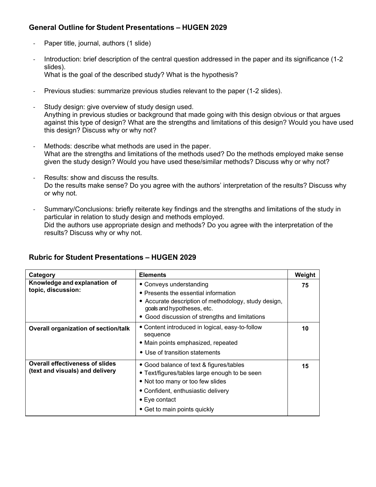# **General Outline for Student Presentations – HUGEN 2029**

- Paper title, journal, authors (1 slide)
- Introduction: brief description of the central question addressed in the paper and its significance (1-2) slides). What is the goal of the described study? What is the hypothesis?
- Previous studies: summarize previous studies relevant to the paper (1-2 slides).
- Study design: give overview of study design used. Anything in previous studies or background that made going with this design obvious or that argues against this type of design? What are the strengths and limitations of this design? Would you have used this design? Discuss why or why not?
- Methods: describe what methods are used in the paper. What are the strengths and limitations of the methods used? Do the methods employed make sense given the study design? Would you have used these/similar methods? Discuss why or why not?
- Results: show and discuss the results. Do the results make sense? Do you agree with the authors' interpretation of the results? Discuss why or why not.
- Summary/Conclusions: briefly reiterate key findings and the strengths and limitations of the study in particular in relation to study design and methods employed. Did the authors use appropriate design and methods? Do you agree with the interpretation of the results? Discuss why or why not.

| Category                                                                  | <b>Elements</b>                                                                                                                                                                                                             | Weight |
|---------------------------------------------------------------------------|-----------------------------------------------------------------------------------------------------------------------------------------------------------------------------------------------------------------------------|--------|
| Knowledge and explanation of<br>topic, discussion:                        | • Conveys understanding<br>• Presents the essential information<br>• Accurate description of methodology, study design,<br>goals and hypotheses, etc.<br>Good discussion of strengths and limitations                       | 75     |
| <b>Overall organization of section/talk</b>                               | • Content introduced in logical, easy-to-follow<br>sequence<br>• Main points emphasized, repeated<br>• Use of transition statements                                                                                         | 10     |
| <b>Overall effectiveness of slides</b><br>(text and visuals) and delivery | • Good balance of text & figures/tables<br>• Text/figures/tables large enough to be seen<br>• Not too many or too few slides<br>• Confident, enthusiastic delivery<br>$\bullet$ Eye contact<br>• Get to main points quickly | 15     |

# **Rubric for Student Presentations – HUGEN 2029**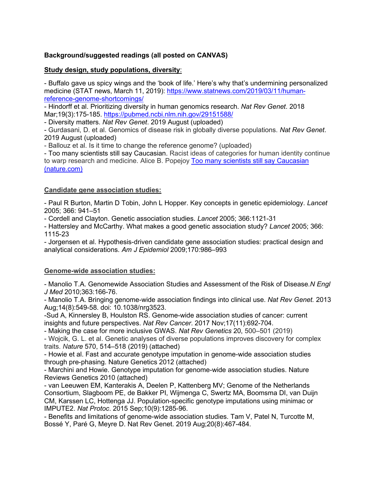# **Background/suggested readings (all posted on CANVAS)**

# **Study design, study populations, diversity**:

- Buffalo gave us spicy wings and the 'book of life.' Here's why that's undermining personalized medicine (STAT news, March 11, 2019): [https://www.statnews.com/2019/03/11/human](https://www.statnews.com/2019/03/11/human-reference-genome-shortcomings/)[reference-genome-shortcomings/](https://www.statnews.com/2019/03/11/human-reference-genome-shortcomings/)

- Hindorff et al. Prioritizing diversity in human genomics research. *Nat Rev Genet*. 2018 Mar;19(3):175-185. <https://pubmed.ncbi.nlm.nih.gov/29151588/>

- Diversity matters. *Nat Rev Genet*. 2019 August (uploaded)

- Gurdasani, D. et al. Genomics of disease risk in globally diverse populations. *Nat Rev Genet*. 2019 August (uploaded)

- Ballouz et al. Is it time to change the reference genome? (uploaded)

- Too many scientists still say Caucasian. Racist ideas of categories for human identity continue to warp research and medicine. Alice B. Popejoy Too many scientists still say [Caucasian](https://www.nature.com/articles/d41586-021-02288-x) [\(nature.com\)](https://www.nature.com/articles/d41586-021-02288-x)

#### **Candidate gene association studies:**

- Paul R Burton, Martin D Tobin, John L Hopper. Key concepts in genetic epidemiology. *Lancet* 2005; 366: 941–51

- Cordell and Clayton. Genetic association studies. *Lancet* 2005; 366:1121-31

- Hattersley and McCarthy. What makes a good genetic association study? *Lancet* 2005; 366: 1115-23

- Jorgensen et al. Hypothesis-driven candidate gene association studies: practical design and analytical considerations. *Am J Epidemiol* 2009;170:986–993

# **Genome-wide association studies:**

- Manolio T.A. Genomewide Association Studies and Assessment of the Risk of Disease.*N Engl J Med* 2010;363:166-76.

- Manolio T.A. Bringing genome-wide association findings into clinical use. *Nat Rev Genet.* 2013 Aug;14(8):549-58. doi: 10.1038/nrg3523.

-Sud A, Kinnersley B, Houlston RS. Genome-wide association studies of cancer: current insights and future perspectives. *Nat Rev Cancer*. 2017 Nov;17(11):692-704.

- Making the case for more inclusive GWAS. *Nat Rev Genetics* 20, 500–501 (2019)

- Wojcik, G. L. et al. Genetic analyses of diverse populations improves discovery for complex traits. *Nature* 570, 514–518 (2019) (attached)

- Howie et al. Fast and accurate genotype imputation in genome-wide association studies through pre-phasing. Nature Genetics 2012 (attached)

- Marchini and Howie. Genotype imputation for genome-wide association studies. Nature Reviews Genetics 2010 (attached)

- van Leeuwen EM, Kanterakis A, Deelen P, Kattenberg MV; Genome of the Netherlands Consortium, Slagboom PE, de Bakker PI, Wijmenga C, Swertz MA, Boomsma DI, van Duijn CM, Karssen LC, Hottenga JJ. Population-specific genotype imputations using minimac or IMPUTE2. *Nat Protoc*. 2015 Sep;10(9):1285-96.

- Benefits and limitations of genome-wide association studies. Tam V, Patel N, Turcotte M, Bossé Y, Paré G, Meyre D. Nat Rev Genet. 2019 Aug;20(8):467-484.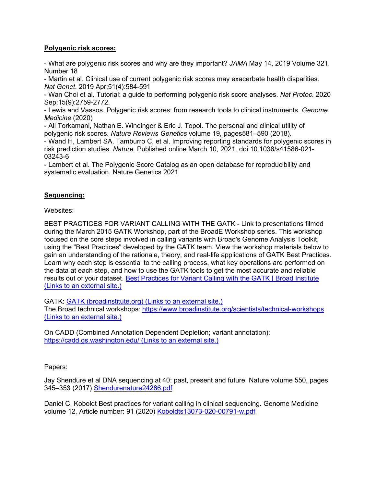# **Polygenic risk scores:**

- What are polygenic risk scores and why are they important? *JAMA* May 14, 2019 Volume 321, Number 18

- Martin et al. Clinical use of current polygenic risk scores may exacerbate health disparities. *Nat Genet*. 2019 Apr;51(4):584-591

- Wan Choi et al. Tutorial: a guide to performing polygenic risk score analyses. *Nat Protoc*. 2020 Sep;15(9):2759-2772.

- Lewis and Vassos. Polygenic risk scores: from research tools to clinical instruments. *Genome Medicine* (2020)

- Ali Torkamani, Nathan E. Wineinger & Eric J. Topol. The personal and clinical utility of polygenic risk scores. *Nature Reviews Genetics* volume 19, pages581–590 (2018).

- Wand H, Lambert SA, Tamburro C, et al. Improving reporting standards for polygenic scores in risk prediction studies. *Nature.* Published online March 10, 2021. doi:10.1038/s41586-021- 03243-6

- Lambert et al. The Polygenic Score Catalog as an open database for reproducibility and systematic evaluation. Nature Genetics 2021

# **Sequencing:**

Websites:

BEST PRACTICES FOR VARIANT CALLING WITH THE GATK - Link to presentations filmed during the March 2015 GATK Workshop, part of the BroadE Workshop series. This workshop focused on the core steps involved in calling variants with Broad's Genome Analysis Toolkit, using the "Best Practices" developed by the GATK team. View the workshop materials below to gain an understanding of the rationale, theory, and real-life applications of GATK Best Practices. Learn why each step is essential to the calling process, what key operations are performed on the data at each step, and how to use the GATK tools to get the most accurate and reliable results out of your dataset. Best Practices for Variant Calling with the [GATK | Broad](https://www.broadinstitute.org/partnerships/education/broade/best-practices-variant-calling-gatk-1) Institute (Links to an [external](https://www.broadinstitute.org/partnerships/education/broade/best-practices-variant-calling-gatk-1) site.)

GATK: GATK [\(broadinstitute.org\) \(Links](https://gatk.broadinstitute.org/hc/en-us) to an external site.)

The Broad technical workshops: <https://www.broadinstitute.org/scientists/technical-workshops> (Links to an [external](https://www.broadinstitute.org/scientists/technical-workshops) site.)

On CADD (Combined Annotation Dependent Depletion; variant annotation): [https://cadd.gs.washington.edu/ \(Links](https://cadd.gs.washington.edu/) to an external site.)

Papers:

Jay Shendure et al DNA sequencing at 40: past, present and future. Nature volume 550, pages 345–353 (2017) [Shendurenature24286.pdf](https://canvas.pitt.edu/courses/115556/files/7115256?wrap=1) 

Daniel C. Koboldt Best practices for variant calling in clinical sequencing. Genome Medicine volume 12, Article number: 91 (2020) [Koboldts13073-020-00791-w.pdf](https://canvas.pitt.edu/courses/115556/files/7115274?wrap=1)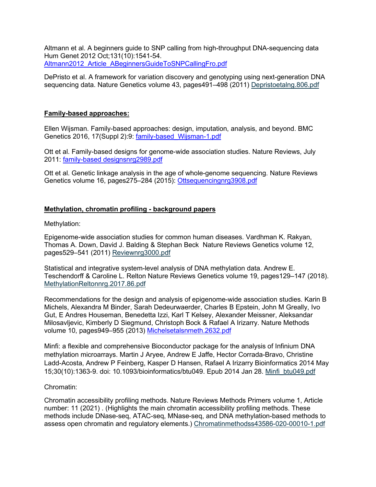Altmann et al. A beginners guide to SNP calling from high-throughput DNA-sequencing data Hum Genet 2012 Oct;131(10):1541-54. [Altmann2012\\_Article\\_ABeginnersGuideToSNPCallingFro.pdf](https://canvas.pitt.edu/courses/115556/files/7115298?wrap=1)

DePristo et al. A framework for variation discovery and genotyping using next-generation DNA sequencing data. Nature Genetics volume 43, pages491–498 (2011) [Depristoetalng.806.pdf](https://canvas.pitt.edu/courses/115556/files/7115323?wrap=1)

# **Family-based approaches:**

Ellen Wijsman. Family-based approaches: design, imputation, analysis, and beyond. BMC Genetics 2016, 17(Suppl 2):9: [family-based\\_Wijsman-1.pdf](https://canvas.pitt.edu/courses/115556/files/7236796?wrap=1)

Ott et al. Family-based designs for genome-wide association studies. Nature Reviews, July 2011: family-based [designsnrg2989.pdf](https://canvas.pitt.edu/courses/115556/files/7236771?wrap=1) 

Ott et al. Genetic linkage analysis in the age of whole-genome sequencing. Nature Reviews Genetics volume 16, pages275–284 (2015): [Ottsequencingnrg3908.pdf](https://canvas.pitt.edu/courses/115556/files/7236798?wrap=1)

# **Methylation, chromatin profiling - background papers**

Methylation:

Epigenome-wide association studies for common human diseases. Vardhman K. Rakyan, Thomas A. Down, David J. Balding & Stephan Beck Nature Reviews Genetics volume 12, pages529–541 (2011) [Reviewnrg3000.pdf](https://canvas.pitt.edu/courses/115556/files/7344260?wrap=1)

Statistical and integrative system-level analysis of DNA methylation data. Andrew E. Teschendorff & Caroline L. Relton Nature Reviews Genetics volume 19, pages129–147 (2018). [MethylationReltonnrg.2017.86.pdf](https://canvas.pitt.edu/courses/115556/files/7344396?wrap=1)

Recommendations for the design and analysis of epigenome-wide association studies. Karin B Michels, Alexandra M Binder, Sarah Dedeurwaerder, Charles B Epstein, John M Greally, Ivo Gut, E Andres Houseman, Benedetta Izzi, Karl T Kelsey, Alexander Meissner, Aleksandar Milosavljevic, Kimberly D Siegmund, Christoph Bock & Rafael A Irizarry. Nature Methods volume 10, pages949–955 (2013) [Michelsetalsnmeth.2632.pdf](https://canvas.pitt.edu/courses/115556/files/7356313?wrap=1)

Minfi: a flexible and comprehensive Bioconductor package for the analysis of Infinium DNA methylation microarrays. Martin J Aryee, Andrew E Jaffe, Hector Corrada-Bravo, Christine Ladd-Acosta, Andrew P Feinberg, Kasper D Hansen, Rafael A Irizarry Bioinformatics 2014 May 15;30(10):1363-9. doi: 10.1093/bioinformatics/btu049. Epub 2014 Jan 28. [Minfi\\_btu049.pdf](https://canvas.pitt.edu/courses/115556/files/7418817?wrap=1)

# Chromatin:

Chromatin accessibility profiling methods. Nature Reviews Methods Primers volume 1, Article number: 11 (2021) . (Highlights the main chromatin accessibility profiling methods. These methods include DNase-seq, ATAC-seq, MNase-seq, and DNA methylation-based methods to assess open chromatin and regulatory elements.) [Chromatinmethodss43586-020-00010-1.pdf](https://canvas.pitt.edu/courses/115556/files/7343833?wrap=1)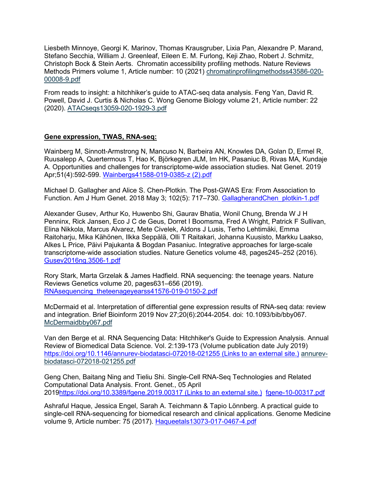Liesbeth Minnoye, Georgi K. Marinov, Thomas Krausgruber, Lixia Pan, Alexandre P. Marand, Stefano Secchia, William J. Greenleaf, Eileen E. M. Furlong, Keji Zhao, Robert J. Schmitz, Christoph Bock & Stein Aerts. Chromatin accessibility profiling methods. Nature Reviews Methods Primers volume 1, Article number: 10 (2021) [chromatinprofilingmethodss43586-020-](https://canvas.pitt.edu/courses/115556/files/7431327?wrap=1) [00008-9.pdf](https://canvas.pitt.edu/courses/115556/files/7431327?wrap=1) 

From reads to insight: a hitchhiker's guide to ATAC-seq data analysis. Feng Yan, David R. Powell, David J. Curtis & Nicholas C. Wong Genome Biology volume 21, Article number: 22 (2020). [ATACseqs13059-020-1929-3.pdf](https://canvas.pitt.edu/courses/115556/files/7343897?wrap=1)

#### **Gene expression, TWAS, RNA-seq:**

Wainberg M, Sinnott-Armstrong N, Mancuso N, Barbeira AN, Knowles DA, Golan D, Ermel R, Ruusalepp A, Quertermous T, Hao K, Björkegren JLM, Im HK, Pasaniuc B, Rivas MA, Kundaje A. Opportunities and challenges for transcriptome-wide association studies. Nat Genet. 2019 Apr;51(4):592-599. [Wainbergs41588-019-0385-z \(2\).pdf](https://canvas.pitt.edu/courses/115556/files/7431149?wrap=1)

Michael D. Gallagher and Alice S. Chen-Plotkin. The Post-GWAS Era: From Association to Function. Am J Hum Genet. 2018 May 3; 102(5): 717–730. [GallagherandChen\\_plotkin-1.pdf](https://canvas.pitt.edu/courses/115556/files/7431364?wrap=1)

Alexander Gusev, Arthur Ko, Huwenbo Shi, Gaurav Bhatia, Wonil Chung, Brenda W J H Penninx, Rick Jansen, Eco J C de Geus, Dorret I Boomsma, Fred A Wright, Patrick F Sullivan, Elina Nikkola, Marcus Alvarez, Mete Civelek, Aldons J Lusis, Terho Lehtimäki, Emma Raitoharju, Mika Kähönen, Ilkka Seppälä, Olli T Raitakari, Johanna Kuusisto, Markku Laakso, Alkes L Price, Päivi Pajukanta & Bogdan Pasaniuc. Integrative approaches for large-scale transcriptome-wide association studies. Nature Genetics volume 48, pages245–252 (2016). [Gusev2016ng.3506-1.pdf](https://canvas.pitt.edu/courses/115556/files/7431432?wrap=1)

Rory Stark, Marta Grzelak & James Hadfield. RNA sequencing: the teenage years. Nature Reviews Genetics volume 20, pages631–656 (2019). [RNAsequencing\\_theteenageyearss41576-019-0150-2.pdf](https://canvas.pitt.edu/courses/115556/files/7431420?wrap=1)

McDermaid et al. Interpretation of differential gene expression results of RNA-seq data: review and integration. Brief Bioinform 2019 Nov 27;20(6):2044-2054. doi: 10.1093/bib/bby067. [McDermaidbby067.pdf](https://canvas.pitt.edu/courses/115556/files/7447092?wrap=1)

Van den Berge et al. RNA Sequencing Data: Hitchhiker's Guide to Expression Analysis. Annual Review of Biomedical Data Science. Vol. 2:139-173 (Volume publication date July 2019) [https://doi.org/10.1146/annurev-biodatasci-072018-021255 \(Links](https://doi.org/10.1146/annurev-biodatasci-072018-021255) to an external site.) [annurev](https://canvas.pitt.edu/courses/115556/files/7431484?wrap=1)[biodatasci-072018-021255.pdf](https://canvas.pitt.edu/courses/115556/files/7431484?wrap=1)

Geng Chen, Baitang Ning and Tieliu Shi. Single-Cell RNA-Seq Technologies and Related Computational Data Analysis. Front. Genet., 05 April 201[9https://doi.org/10.3389/fgene.2019.00317](https://doi.org/10.3389/fgene.2019.00317%20(Links%20to%20an%20external%20site.)) (Links to an external site.) [fgene-10-00317.pdf](https://canvas.pitt.edu/courses/115556/files/7431525?wrap=1)

Ashraful Haque, Jessica Engel, Sarah A. Teichmann & Tapio Lönnberg. A practical guide to single-cell RNA-sequencing for biomedical research and clinical applications. Genome Medicine volume 9, Article number: 75 (2017). [Haqueetals13073-017-0467-4.pdf](https://canvas.pitt.edu/courses/115556/files/7431539?wrap=1)